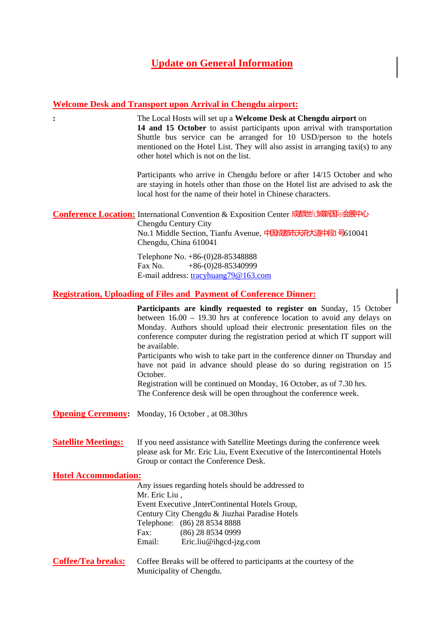## **Update on General Information**

## **Welcome Desk and Transport upon Arrival in Chengdu airport:**

**:** The Local Hosts will set up a **Welcome Desk at Chengdu airport** on **14 and 15 October** to assist participants upon arrival with transportation Shuttle bus service can be arranged for 10 USD/person to the hotels mentioned on the Hotel List. They will also assist in arranging taxi(s) to any other hotel which is not on the list.

> Participants who arrive in Chengdu before or after 14/15 October and who are staying in hotels other than those on the Hotel list are advised to ask the local host for the name of their hotel in Chinese characters.

**Conference Location:** International Convention & Exposition Center 成都世纪城市国际会展中心 Chengdu Century City No.1 Middle Section, Tianfu Avenue, 中国成都市天府大道中段 号610041

Chengdu, China 610041 Telephone No. +86-(0)28-85348888 Fax No.  $+86-(0)28-85340999$ E-mail address: tracyhuang79@163.com

## **Registration, Uploading of Files and Payment of Conference Dinner:**

|                             | Participants are kindly requested to register on Sunday, 15 October<br>between $16.00 - 19.30$ hrs at conference location to avoid any delays on<br>Monday. Authors should upload their electronic presentation files on the<br>conference computer during the registration period at which IT support will<br>be available. |
|-----------------------------|------------------------------------------------------------------------------------------------------------------------------------------------------------------------------------------------------------------------------------------------------------------------------------------------------------------------------|
|                             | Participants who wish to take part in the conference dinner on Thursday and<br>have not paid in advance should please do so during registration on 15<br>October.                                                                                                                                                            |
|                             | Registration will be continued on Monday, 16 October, as of 7.30 hrs.<br>The Conference desk will be open throughout the conference week.                                                                                                                                                                                    |
|                             | <b>Opening Ceremony:</b> Monday, 16 October, at 08.30hrs                                                                                                                                                                                                                                                                     |
| <b>Satellite Meetings:</b>  | If you need assistance with Satellite Meetings during the conference week<br>please ask for Mr. Eric Liu, Event Executive of the Intercontinental Hotels<br>Group or contact the Conference Desk.                                                                                                                            |
| <b>Hotel Accommodation:</b> |                                                                                                                                                                                                                                                                                                                              |
|                             | Any issues regarding hotels should be addressed to<br>Mr. Eric Liu,                                                                                                                                                                                                                                                          |
|                             | Event Executive , InterContinental Hotels Group,                                                                                                                                                                                                                                                                             |
|                             | Century City Chengdu & Jiuzhai Paradise Hotels                                                                                                                                                                                                                                                                               |
|                             | Telephone: (86) 28 8534 8888                                                                                                                                                                                                                                                                                                 |
|                             | Fax:<br>(86) 28 8534 0999<br>Eric.liu@ihgcd-jzg.com<br>Email:                                                                                                                                                                                                                                                                |
| <b>Coffee/Tea breaks:</b>   | Coffee Breaks will be offered to participants at the courtesy of the<br>Municipality of Chengdu.                                                                                                                                                                                                                             |